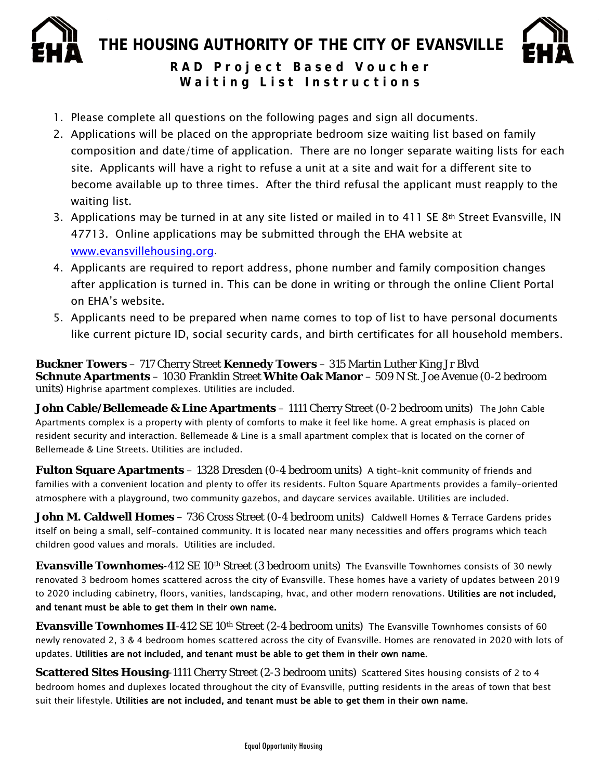

**THE HOUSING AUTHORITY OF THE CITY OF EVANSVILLE**



**RAD Project Based Voucher Waiting List Instructions**

- 1. Please complete all questions on the following pages and sign all documents.
- 2. Applications will be placed on the appropriate bedroom size waiting list based on family composition and date/time of application. There are no longer separate waiting lists for each site. Applicants will have a right to refuse a unit at a site and wait for a different site to become available up to three times. After the third refusal the applicant must reapply to the waiting list.
- 3. Applications may be turned in at any site listed or mailed in to 411 SE  $8<sup>th</sup>$  Street Evansville, IN 47713. Online applications may be submitted through the EHA website at [www.evansvillehousing.org.](http://www.evansvillehousing.org/)
- 4. Applicants are required to report address, phone number and family composition changes after application is turned in. This can be done in writing or through the online Client Portal on EHA's website.
- 5. Applicants need to be prepared when name comes to top of list to have personal documents like current picture ID, social security cards, and birth certificates for all household members.

**[Buckner Towers](https://www.evansvillehousing.org/properties/detail/buckner_towers)** – 717 Cherry Street **[Kennedy Towers](https://www.evansvillehousing.org/properties/detail/kennedy_towers)** – 315 Martin Luther King Jr Blvd **[Schnute Apartments](https://www.evansvillehousing.org/properties/detail/schnute_apartments)** – 1030 Franklin Street **[White Oak Manor](https://www.evansvillehousing.org/properties/detail/white_oak_manor)** – 509 N St. Joe Avenue (0-2 bedroom units) Highrise apartment complexes. Utilities are included.

**[John Cable/Bellemeade & Line](https://www.evansvillehousing.org/properties/detail/john_cable_centre) Apartments** – 1111 Cherry Street (0-2 bedroom units) The John Cable Apartments complex is a property with plenty of comforts to make it feel like home. A great emphasis is placed on resident security and interaction. Bellemeade & Line is a small apartment complex that is located on the corner of Bellemeade & Line Streets. Utilities are included.

**[Fulton Square Apartments](https://www.evansvillehousing.org/properties/detail/fulton_square_apartments)** – 1328 Dresden (0-4 bedroom units) A tight-knit community of friends and families with a convenient location and plenty to offer its residents. Fulton Square Apartments provides a family-oriented atmosphere with a playground, two community gazebos, and daycare services available. Utilities are included.

**[John M. Caldwell Homes](https://www.evansvillehousing.org/properties/detail/john_m._caldwell_homes)** – 736 Cross Street (0-4 bedroom units) Caldwell Homes & Terrace Gardens prides itself on being a small, self-contained community. It is located near many necessities and offers programs which teach children good values and morals. Utilities are included.

**Evansville Townhomes**-412 SE 10<sup>th</sup> Street (3 bedroom units) The Evansville Townhomes consists of 30 newly renovated 3 bedroom homes scattered across the city of Evansville. These homes have a variety of updates between 2019 to 2020 including cabinetry, floors, vanities, landscaping, hvac, and other modern renovations. Utilities are not included, and tenant must be able to get them in their own name.

**Evansville Townhomes II**-412 SE 10th Street (2-4 bedroom units) The Evansville Townhomes consists of 60 newly renovated 2, 3 & 4 bedroom homes scattered across the city of Evansville. Homes are renovated in 2020 with lots of updates. Utilities are not included, and tenant must be able to get them in their own name.

**Scattered Sites Housing-1111 Cherry Street (2-3 bedroom units) Scattered Sites housing consists of 2 to 4** bedroom homes and duplexes located throughout the city of Evansville, putting residents in the areas of town that best suit their lifestyle. Utilities are not included, and tenant must be able to get them in their own name.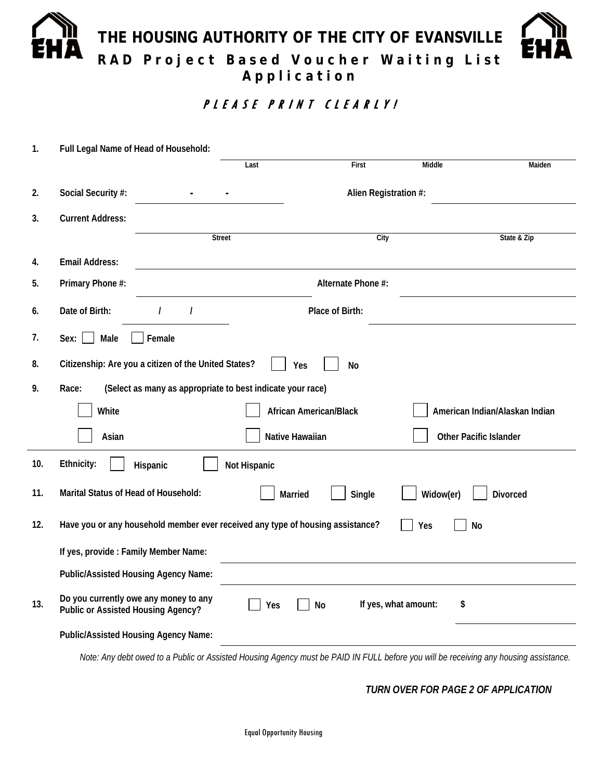# **THE HOUSING AUTHORITY OF THE CITY OF EVANSVILLE RAD Project Based Voucher Waiting List Application**

PLEASE PRINT CLEARLY!

| 1.  | Full Legal Name of Head of Household:                                                       |                    |                 |                                                                                                                               |                            |                                |  |  |  |  |  |
|-----|---------------------------------------------------------------------------------------------|--------------------|-----------------|-------------------------------------------------------------------------------------------------------------------------------|----------------------------|--------------------------------|--|--|--|--|--|
|     |                                                                                             |                    | Last            | First                                                                                                                         | <b>Middle</b>              | Maiden                         |  |  |  |  |  |
| 2.  | Social Security #:                                                                          |                    |                 | Alien Registration #:                                                                                                         |                            |                                |  |  |  |  |  |
| 3.  | <b>Current Address:</b>                                                                     |                    |                 |                                                                                                                               |                            |                                |  |  |  |  |  |
|     |                                                                                             | <b>Street</b>      |                 | City                                                                                                                          |                            | State & Zip                    |  |  |  |  |  |
| 4.  | <b>Email Address:</b>                                                                       |                    |                 |                                                                                                                               |                            |                                |  |  |  |  |  |
| 5.  | Primary Phone #:                                                                            | Alternate Phone #: |                 |                                                                                                                               |                            |                                |  |  |  |  |  |
| 6.  | Date of Birth:                                                                              | $\prime$           |                 | Place of Birth:                                                                                                               |                            |                                |  |  |  |  |  |
| 7.  | Male<br>Sex:                                                                                | Female             |                 |                                                                                                                               |                            |                                |  |  |  |  |  |
| 8.  | Citizenship: Are you a citizen of the United States?<br>Yes<br><b>No</b>                    |                    |                 |                                                                                                                               |                            |                                |  |  |  |  |  |
| 9.  | (Select as many as appropriate to best indicate your race)<br>Race:                         |                    |                 |                                                                                                                               |                            |                                |  |  |  |  |  |
|     | White                                                                                       |                    |                 | <b>African American/Black</b>                                                                                                 |                            | American Indian/Alaskan Indian |  |  |  |  |  |
|     | Asian                                                                                       |                    | Native Hawaiian |                                                                                                                               |                            | Other Pacific Islander         |  |  |  |  |  |
| 10. | Ethnicity:<br>Not Hispanic<br>Hispanic                                                      |                    |                 |                                                                                                                               |                            |                                |  |  |  |  |  |
| 11. | Marital Status of Head of Household:                                                        |                    | Married         | Single                                                                                                                        | Widow(er)                  | <b>Divorced</b>                |  |  |  |  |  |
| 12. | Have you or any household member ever received any type of housing assistance?<br>No<br>Yes |                    |                 |                                                                                                                               |                            |                                |  |  |  |  |  |
|     | If yes, provide : Family Member Name:                                                       |                    |                 |                                                                                                                               |                            |                                |  |  |  |  |  |
|     | Public/Assisted Housing Agency Name:                                                        |                    |                 |                                                                                                                               |                            |                                |  |  |  |  |  |
| 13. | Do you currently owe any money to any<br>Public or Assisted Housing Agency?                 |                    | Yes             | No                                                                                                                            | If yes, what amount:<br>\$ |                                |  |  |  |  |  |
|     | Public/Assisted Housing Agency Name:                                                        |                    |                 |                                                                                                                               |                            |                                |  |  |  |  |  |
|     |                                                                                             |                    |                 | Note: Apudabt quad to a Dublic or Acoided Hauging Aganou muat be DAID IN FULL before you will be reaching apubousing escaight |                            |                                |  |  |  |  |  |

*Note: Any debt owed to a Public or Assisted Housing Agency must be PAID IN FULL before you will be receiving any housing assistance.*

*TURN OVER FOR PAGE 2 OF APPLICATION*